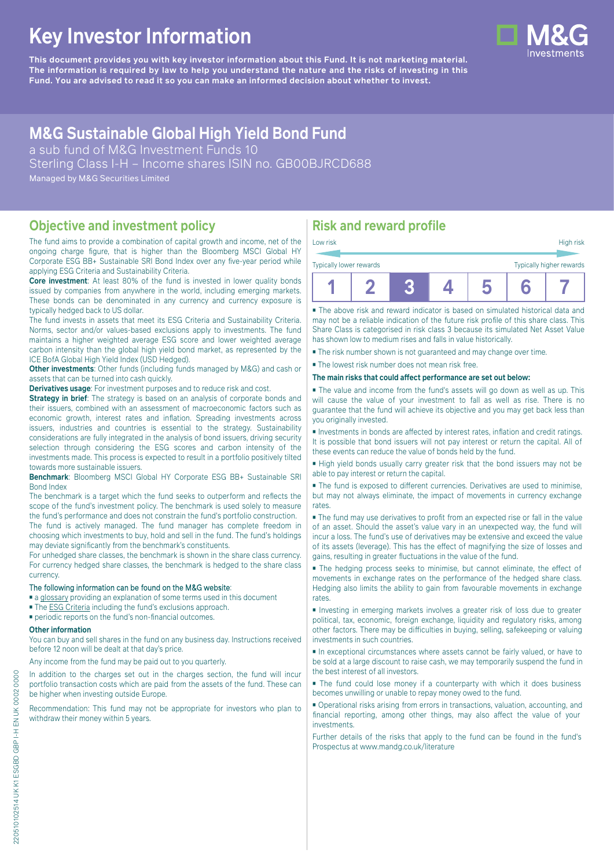# **Key Investor Information**

**This document provides you with key investor information about this Fund. It is not marketing material.** The information is required by law to help you understand the nature and the risks of investing in this **Fund. You are advised to read it so you can make an informed decision about whether to invest.**

# **M&G Sustainable Global High Yield Bond Fund**

a sub fund of M&G Investment Funds 10 Sterling Class I-H – Income shares ISIN no. GB00BJRCD688 Managed by M&G Securities Limited

### **Objective and investment policy**

The fund aims to provide a combination of capital growth and income, net of the ongoing charge figure, that is higher than the Bloomberg MSCI Global HY Corporate ESG BB+ Sustainable SRI Bond Index over any five-year period while applying ESG Criteria and Sustainability Criteria.

**Core investment**: At least 80% of the fund is invested in lower quality bonds issued by companies from anywhere in the world, including emerging markets. These bonds can be denominated in any currency and currency exposure is typically hedged back to US dollar.

The fund invests in assets that meet its ESG Criteria and Sustainability Criteria. Norms, sector and/or values-based exclusions apply to investments. The fund maintains a higher weighted average ESG score and lower weighted average carbon intensity than the global high yield bond market, as represented by the ICE BofA Global High Yield Index (USD Hedged).

**Other investments**: Other funds (including funds managed by M&G) and cash or assets that can be turned into cash quickly.

**Derivatives usage**: For investment purposes and to reduce risk and cost.

**Strategy in brief:** The strategy is based on an analysis of corporate bonds and their issuers, combined with an assessment of macroeconomic factors such as economic growth, interest rates and inflation. Spreading investments across issuers, industries and countries is essential to the strategy. Sustainability considerations are fully integrated in the analysis of bond issuers, driving security selection through considering the ESG scores and carbon intensity of the investments made. This process is expected to result in a portfolio positively tilted towards more sustainable issuers.

**Benchmark**: Bloomberg MSCI Global HY Corporate ESG BB+ Sustainable SRI Bond Index

The benchmark is a target which the fund seeks to outperform and reflects the scope of the fund's investment policy. The benchmark is used solely to measure the fund's performance and does not constrain the fund's portfolio construction.

The fund is actively managed. The fund manager has complete freedom in choosing which investments to buy, hold and sell in the fund. The fund's holdings may deviate significantly from the benchmark's constituents.

For unhedged share classes, the benchmark is shown in the share class currency. For currency hedged share classes, the benchmark is hedged to the share class currency.

#### The following information can be found on the M&G website:

- [a glossary](https://docs.mandg.com/docs/glossary-master-en.pdf) providing an explanation of some terms used in this document
- The [ESG Criteria](https://www.mandg.com/dam/investments/common/gb/en/documents/funds-literature/fund-specific-files/esg-literature/esg-criteria-sustainable-global-high-yield-bond-fund.pdf) including the fund's exclusions approach.
- periodic reports on the fund's non-financial outcomes.

#### **Other information**

You can buy and sell shares in the fund on any business day. Instructions received before 12 noon will be dealt at that day's price.

Any income from the fund may be paid out to you quarterly.

In addition to the charges set out in the charges section, the fund will incur portfolio transaction costs which are paid from the assets of the fund. These can be higher when investing outside Europe.

Recommendation: This fund may not be appropriate for investors who plan to withdraw their money within 5 years.

## **Risk and reward profile**

| Low risk                |  |  |  |  | High risk                |  |
|-------------------------|--|--|--|--|--------------------------|--|
| Typically lower rewards |  |  |  |  | Typically higher rewards |  |
|                         |  |  |  |  |                          |  |

■ The above risk and reward indicator is based on simulated historical data and may not be a reliable indication of the future risk profile of this share class. This Share Class is categorised in risk class 3 because its simulated Net Asset Value has shown low to medium rises and falls in value historically.

■ The risk number shown is not guaranteed and may change over time.

■ The lowest risk number does not mean risk free.

#### **The main risks that could affect performance are set out below:**

■ The value and income from the fund's assets will go down as well as up. This will cause the value of your investment to fall as well as rise. There is no guarantee that the fund will achieve its objective and you may get back less than you originally invested.

■ Investments in bonds are affected by interest rates, inflation and credit ratings. It is possible that bond issuers will not pay interest or return the capital. All of these events can reduce the value of bonds held by the fund.

■ High yield bonds usually carry greater risk that the bond issuers may not be able to pay interest or return the capital.

■ The fund is exposed to different currencies. Derivatives are used to minimise, but may not always eliminate, the impact of movements in currency exchange rates.

■ The fund may use derivatives to profit from an expected rise or fall in the value of an asset. Should the asset's value vary in an unexpected way, the fund will incur a loss. The fund's use of derivatives may be extensive and exceed the value of its assets (leverage). This has the effect of magnifying the size of losses and gains, resulting in greater fluctuations in the value of the fund.

■ The hedging process seeks to minimise, but cannot eliminate, the effect of movements in exchange rates on the performance of the hedged share class. Hedging also limits the ability to gain from favourable movements in exchange rates.

■ Investing in emerging markets involves a greater risk of loss due to greater political, tax, economic, foreign exchange, liquidity and regulatory risks, among other factors. There may be difficulties in buying, selling, safekeeping or valuing investments in such countries.

■ In exceptional circumstances where assets cannot be fairly valued, or have to be sold at a large discount to raise cash, we may temporarily suspend the fund in the best interest of all investors.

■ The fund could lose money if a counterparty with which it does business becomes unwilling or unable to repay money owed to the fund.

■ Operational risks arising from errors in transactions, valuation, accounting, and financial reporting, among other things, may also affect the value of your investments.

Further details of the risks that apply to the fund can be found in the fund's Prospectus at [www.mandg.co.uk/literature](http://www.mandg.co.uk/literature)